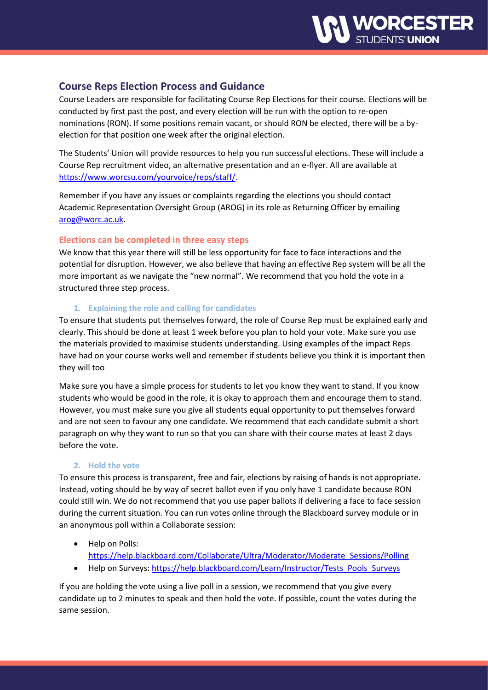# **Course Reps Election Process and Guidance**

Course Leaders are responsible for facilitating Course Rep Elections for their course. Elections will be conducted by first past the post, and every election will be run with the option to re-open nominations (RON). If some positions remain vacant, or should RON be elected, there will be a byelection for that position one week after the original election.

The Students' Union will provide resources to help you run successful elections. These will include a Course Rep recruitment video, an alternative presentation and an e-flyer. All are available at [https://www.worcsu.com/yourvoice/reps/staff/.](https://www.worcsu.com/yourvoice/reps/staff/)

Remember if you have any issues or complaints regarding the elections you should contact Academic Representation Oversight Group (AROG) in its role as Returning Officer by emailing [arog@worc.ac.uk.](mailto:arog@worc.ac.uk)

## **Elections can be completed in three easy steps**

We know that this year there will still be less opportunity for face to face interactions and the potential for disruption. However, we also believe that having an effective Rep system will be all the more important as we navigate the "new normal". We recommend that you hold the vote in a structured three step process.

### **1. Explaining the role and calling for candidates**

To ensure that students put themselves forward, the role of Course Rep must be explained early and clearly. This should be done at least 1 week before you plan to hold your vote. Make sure you use the materials provided to maximise students understanding. Using examples of the impact Reps have had on your course works well and remember if students believe you think it is important then they will too

Make sure you have a simple process for students to let you know they want to stand. If you know students who would be good in the role, it is okay to approach them and encourage them to stand. However, you must make sure you give all students equal opportunity to put themselves forward and are not seen to favour any one candidate. We recommend that each candidate submit a short paragraph on why they want to run so that you can share with their course mates at least 2 days before the vote.

### **2. Hold the vote**

To ensure this process is transparent, free and fair, elections by raising of hands is not appropriate. Instead, voting should be by way of secret ballot even if you only have 1 candidate because RON could still win. We do not recommend that you use paper ballots if delivering a face to face session during the current situation. You can run votes online through the Blackboard survey module or in an anonymous poll within a Collaborate session:

- Help on Polls: [https://help.blackboard.com/Collaborate/Ultra/Moderator/Moderate\\_Sessions/Polling](https://help.blackboard.com/Collaborate/Ultra/Moderator/Moderate_Sessions/Polling)
- Help on Surveys: [https://help.blackboard.com/Learn/Instructor/Tests\\_Pools\\_Surveys](https://help.blackboard.com/Learn/Instructor/Tests_Pools_Surveys)

If you are holding the vote using a live poll in a session, we recommend that you give every candidate up to 2 minutes to speak and then hold the vote. If possible, count the votes during the same session.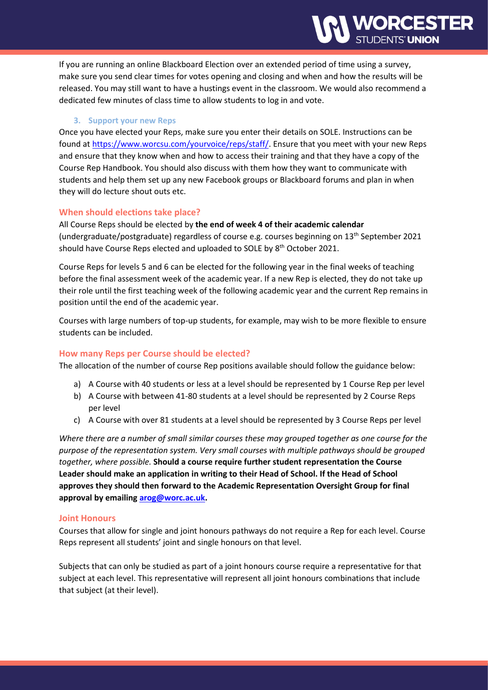If you are running an online Blackboard Election over an extended period of time using a survey, make sure you send clear times for votes opening and closing and when and how the results will be released. You may still want to have a hustings event in the classroom. We would also recommend a dedicated few minutes of class time to allow students to log in and vote.

#### **3. Support your new Reps**

Once you have elected your Reps, make sure you enter their details on SOLE. Instructions can be found a[t https://www.worcsu.com/yourvoice/reps/staff/.](https://www.worcsu.com/yourvoice/reps/staff/) Ensure that you meet with your new Reps and ensure that they know when and how to access their training and that they have a copy of the Course Rep Handbook. You should also discuss with them how they want to communicate with students and help them set up any new Facebook groups or Blackboard forums and plan in when they will do lecture shout outs etc.

#### **When should elections take place?**

All Course Reps should be elected by **the end of week 4 of their academic calendar** (undergraduate/postgraduate) regardless of course e.g. courses beginning on 13 th September 2021 should have Course Reps elected and uploaded to SOLE by 8<sup>th</sup> October 2021.

Course Reps for levels 5 and 6 can be elected for the following year in the final weeks of teaching before the final assessment week of the academic year. If a new Rep is elected, they do not take up their role until the first teaching week of the following academic year and the current Rep remains in position until the end of the academic year.

Courses with large numbers of top-up students, for example, may wish to be more flexible to ensure students can be included.

#### **How many Reps per Course should be elected?**

The allocation of the number of course Rep positions available should follow the guidance below:

- a) A Course with 40 students or less at a level should be represented by 1 Course Rep per level
- b) A Course with between 41-80 students at a level should be represented by 2 Course Reps per level
- c) A Course with over 81 students at a level should be represented by 3 Course Reps per level

*Where there are a number of small similar courses these may grouped together as one course for the purpose of the representation system. Very small courses with multiple pathways should be grouped together, where possible.* **Should a course require further student representation the Course Leader should make an application in writing to their Head of School. If the Head of School approves they should then forward to the Academic Representation Oversight Group for final approval by emailing [arog@worc.ac.uk.](mailto:arog@worc.ac.uk)**

#### **Joint Honours**

Courses that allow for single and joint honours pathways do not require a Rep for each level. Course Reps represent all students' joint and single honours on that level.

Subjects that can only be studied as part of a joint honours course require a representative for that subject at each level. This representative will represent all joint honours combinations that include that subject (at their level).